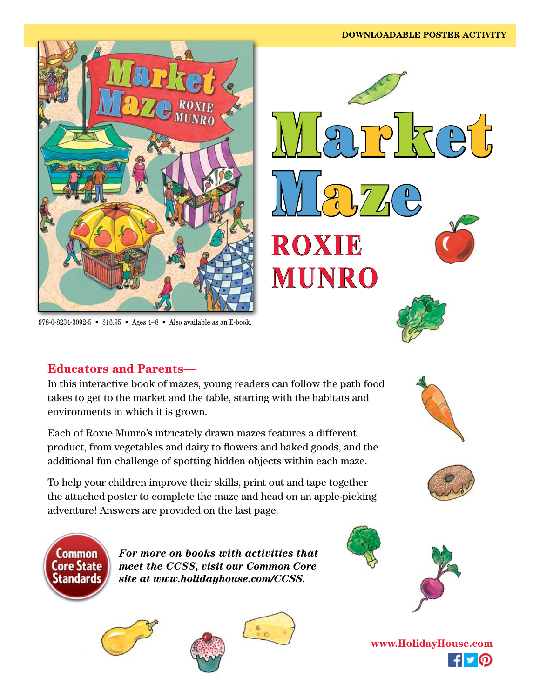

978-0-8234-3092-5 • \$16.95 • Ages 4–8 • Also available as an E-book.

### **Educators and Parents—**

In this interactive book of mazes, young readers can follow the path food takes to get to the market and the table, starting with the habitats and environments in which it is grown.

Each of Roxie Munro's intricately drawn mazes features a different product, from vegetables and dairy to flowers and baked goods, and the additional fun challenge of spotting hidden objects within each maze.

To help your children improve their skills, print out and tape together the attached poster to complete the maze and head on an apple-picking adventure! Answers are provided on the last page.



*For more on books with activities that meet the CCSS, visit our Common Core site at www.holidayhouse.com/CCSS.*









**www.HolidayHouse.com** $f \triangleright Q$ 



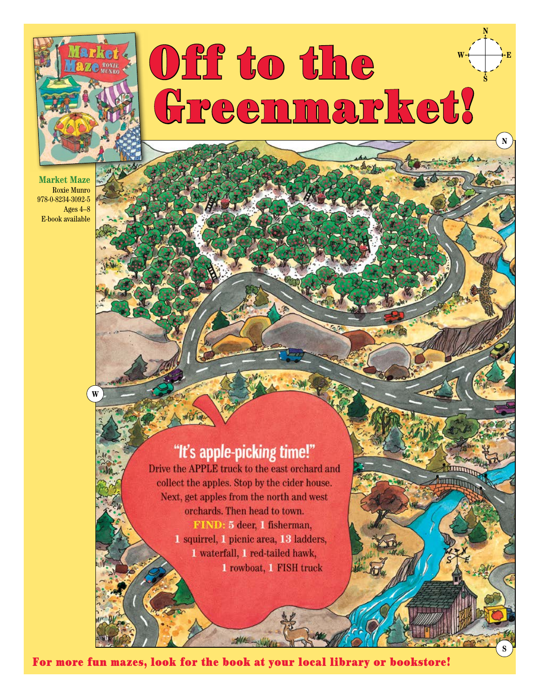

**W**

## Off to the Greenmarket!  $W \rightarrow \rightarrow E$

**N**

**S**

**N**

**S**

**Market Maze** Roxie Munro 978-0-8234-3092-5 Ages 4–8 E-book available



Drive the APPLE truck to the east orchard and collect the apples. Stop by the cider house. Next, get apples from the north and west orchards. Then head to town. FIND: 5 deer, 1 fisherman, 1 squirrel, 1 picnic area, 13 ladders, 1 waterfall, 1 red-tailed hawk, 1 rowboat, 1 FISH truck

For more fun mazes, look for the book at your local library or bookstore!

 $-140-$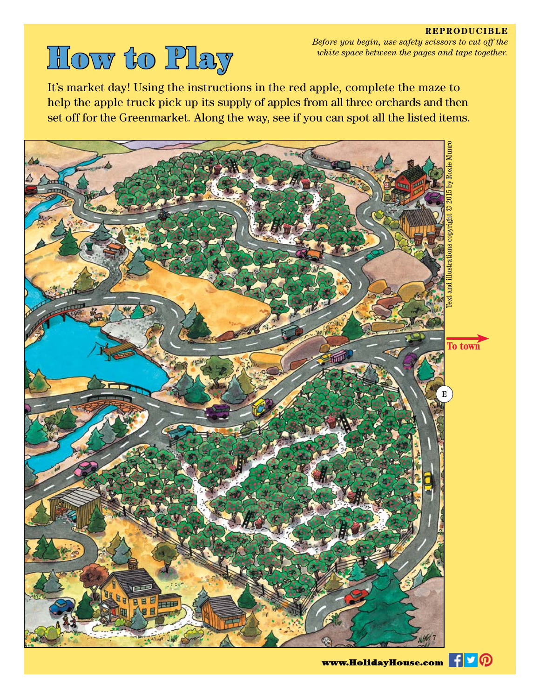# white space between the pages and tape together.<br> **How the Player** white space between the pages and tape together.

It's market day! Using the instructions in the red apple, complete the maze to help the apple truck pick up its supply of apples from all three orchards and then set off for the Greenmarket. Along the way, see if you can spot all the listed items.